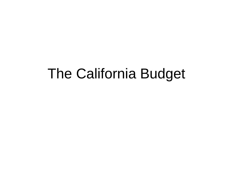#### The California Budget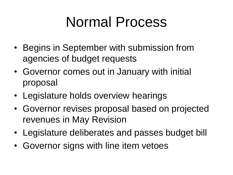## Normal Process

- Begins in September with submission from agencies of budget requests
- Governor comes out in January with initial proposal
- Legislature holds overview hearings
- Governor revises proposal based on projected revenues in May Revision
- Legislature deliberates and passes budget bill
- Governor signs with line item vetoes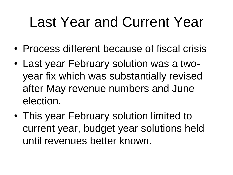# Last Year and Current Year

- Process different because of fiscal crisis
- Last year February solution was a twoyear fix which was substantially revised after May revenue numbers and June election.
- This year February solution limited to current year, budget year solutions held until revenues better known.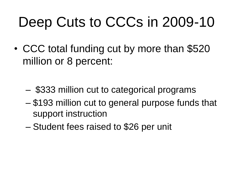# Deep Cuts to CCCs in 2009-10

• CCC total funding cut by more than \$520 million or 8 percent:

- \$333 million cut to categorical programs
- \$193 million cut to general purpose funds that support instruction
- Student fees raised to \$26 per unit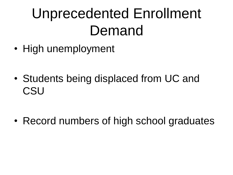# Unprecedented Enrollment Demand

- High unemployment
- Students being displaced from UC and **CSU**

• Record numbers of high school graduates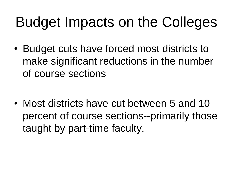# Budget Impacts on the Colleges

• Budget cuts have forced most districts to make significant reductions in the number of course sections

• Most districts have cut between 5 and 10 percent of course sections--primarily those taught by part-time faculty.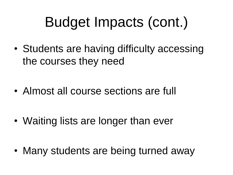# Budget Impacts (cont.)

• Students are having difficulty accessing the courses they need

• Almost all course sections are full

• Waiting lists are longer than ever

• Many students are being turned away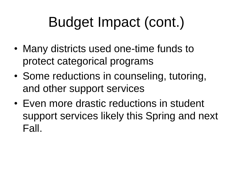# Budget Impact (cont.)

- Many districts used one-time funds to protect categorical programs
- Some reductions in counseling, tutoring, and other support services
- Even more drastic reductions in student support services likely this Spring and next Fall.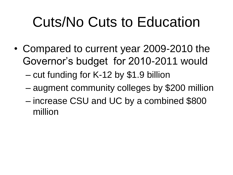# Cuts/No Cuts to Education

• Compared to current year 2009-2010 the Governor's budget for 2010-2011 would

– cut funding for K-12 by \$1.9 billion

- augment community colleges by \$200 million
- increase CSU and UC by a combined \$800 million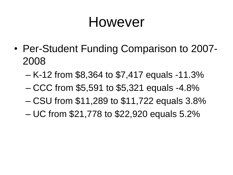### However

- Per-Student Funding Comparison to 2007- 2008
	- K-12 from \$8,364 to \$7,417 equals -11.3%
	- CCC from \$5,591 to \$5,321 equals -4.8%
	- CSU from \$11,289 to \$11,722 equals 3.8%
	- UC from \$21,778 to \$22,920 equals 5.2%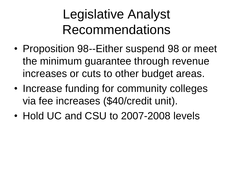### Legislative Analyst Recommendations

- Proposition 98--Either suspend 98 or meet the minimum guarantee through revenue increases or cuts to other budget areas.
- Increase funding for community colleges via fee increases (\$40/credit unit).
- Hold UC and CSU to 2007-2008 levels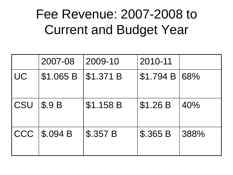#### Fee Revenue: 2007-2008 to Current and Budget Year

|           | 2007-08      | 2009-10   | 2010-11       |      |
|-----------|--------------|-----------|---------------|------|
| <b>UC</b> | \$1.065 B    | \$1.371 B | \$1.794 B 68% |      |
| CSU       | <b>\$.9B</b> | \$1.158 B | \$1.26 B      | 40%  |
| CCC       | \$.094 B     | \$.357 B  | \$.365 B      | 388% |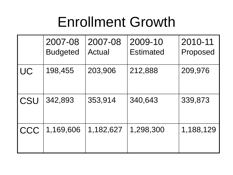## Enrollment Growth

|           | 2007-08<br><b>Budgeted</b> | 2007-08<br>Actual | 2009-10<br><b>Estimated</b> | 2010-11<br>Proposed |
|-----------|----------------------------|-------------------|-----------------------------|---------------------|
| <b>UC</b> | 198,455                    | 203,906           | 212,888                     | 209,976             |
| CSU       | 342,893                    | 353,914           | 340,643                     | 339,873             |
| CCC       | 1,169,606                  | 1,182,627         | 1,298,300                   | 1,188,129           |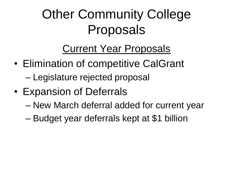## **Other Community College** Proposals

#### Current Year Proposals

- Elimination of competitive CalGrant
	- Legislature rejected proposal
- Expansion of Deferrals
	- New March deferral added for current year
	- Budget year deferrals kept at \$1 billion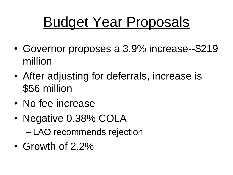## Budget Year Proposals

- Governor proposes a 3.9% increase--\$219 million
- After adjusting for deferrals, increase is \$56 million
- No fee increase
- Negative 0.38% COLA – LAO recommends rejection
- Growth of 2.2%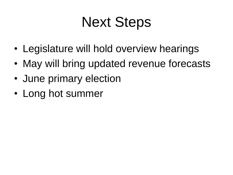# Next Steps

- Legislature will hold overview hearings
- May will bring updated revenue forecasts
- June primary election
- Long hot summer